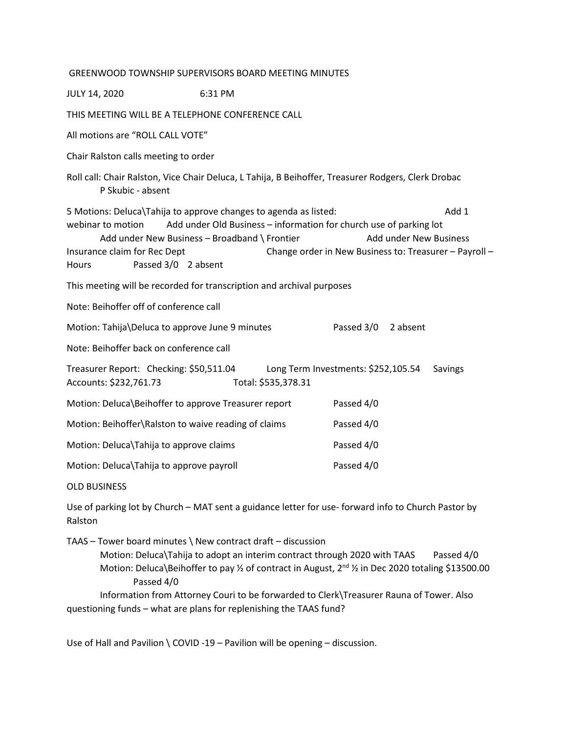| <b>GREENWOOD TOWNSHIP SUPERVISORS BOARD MEETING MINUTES</b>                                                                                                                                                                                                                                                                                                                      |                     |                                     |         |  |
|----------------------------------------------------------------------------------------------------------------------------------------------------------------------------------------------------------------------------------------------------------------------------------------------------------------------------------------------------------------------------------|---------------------|-------------------------------------|---------|--|
| <b>JULY 14, 2020</b>                                                                                                                                                                                                                                                                                                                                                             | 6:31 PM             |                                     |         |  |
| THIS MEETING WILL BE A TELEPHONE CONFERENCE CALL                                                                                                                                                                                                                                                                                                                                 |                     |                                     |         |  |
| All motions are "ROLL CALL VOTE"                                                                                                                                                                                                                                                                                                                                                 |                     |                                     |         |  |
| Chair Ralston calls meeting to order                                                                                                                                                                                                                                                                                                                                             |                     |                                     |         |  |
| Roll call: Chair Ralston, Vice Chair Deluca, L Tahija, B Beihoffer, Treasurer Rodgers, Clerk Drobac<br>P Skubic - absent                                                                                                                                                                                                                                                         |                     |                                     |         |  |
| Add 1<br>5 Motions: Deluca\Tahija to approve changes to agenda as listed:<br>Add under Old Business - information for church use of parking lot<br>webinar to motion<br>Add under New Business - Broadband \ Frontier<br><b>Add under New Business</b><br>Insurance claim for Rec Dept<br>Change order in New Business to: Treasurer - Payroll -<br>Passed 3/0 2 absent<br>Hours |                     |                                     |         |  |
| This meeting will be recorded for transcription and archival purposes                                                                                                                                                                                                                                                                                                            |                     |                                     |         |  |
| Note: Beihoffer off of conference call                                                                                                                                                                                                                                                                                                                                           |                     |                                     |         |  |
| Motion: Tahija\Deluca to approve June 9 minutes                                                                                                                                                                                                                                                                                                                                  |                     | Passed 3/0<br>2 absent              |         |  |
| Note: Beihoffer back on conference call                                                                                                                                                                                                                                                                                                                                          |                     |                                     |         |  |
| Treasurer Report: Checking: \$50,511.04<br>Accounts: \$232,761.73                                                                                                                                                                                                                                                                                                                | Total: \$535,378.31 | Long Term Investments: \$252,105.54 | Savings |  |
| Motion: Deluca\Beihoffer to approve Treasurer report                                                                                                                                                                                                                                                                                                                             |                     | Passed 4/0                          |         |  |
| Motion: Beihoffer\Ralston to waive reading of claims                                                                                                                                                                                                                                                                                                                             |                     | Passed 4/0                          |         |  |
| Motion: Deluca\Tahija to approve claims                                                                                                                                                                                                                                                                                                                                          |                     | Passed 4/0                          |         |  |
| Motion: Deluca\Tahija to approve payroll                                                                                                                                                                                                                                                                                                                                         |                     | Passed 4/0                          |         |  |
| <b>OLD BUSINESS</b>                                                                                                                                                                                                                                                                                                                                                              |                     |                                     |         |  |

Use of parking lot by Church – MAT sent a guidance letter for use- forward info to Church Pastor by Ralston

TAAS – Tower board minutes \ New contract draft – discussion

Motion: Deluca\Tahija to adopt an interim contract through 2020 with TAAS Passed 4/0 Motion: Deluca\Beihoffer to pay 1/2 of contract in August, 2<sup>nd</sup> 1/2 in Dec 2020 totaling \$13500.00 Passed 4/0

Information from Attorney Couri to be forwarded to Clerk\Treasurer Rauna of Tower. Also questioning funds – what are plans for replenishing the TAAS fund?

Use of Hall and Pavilion \ COVID -19 – Pavilion will be opening – discussion.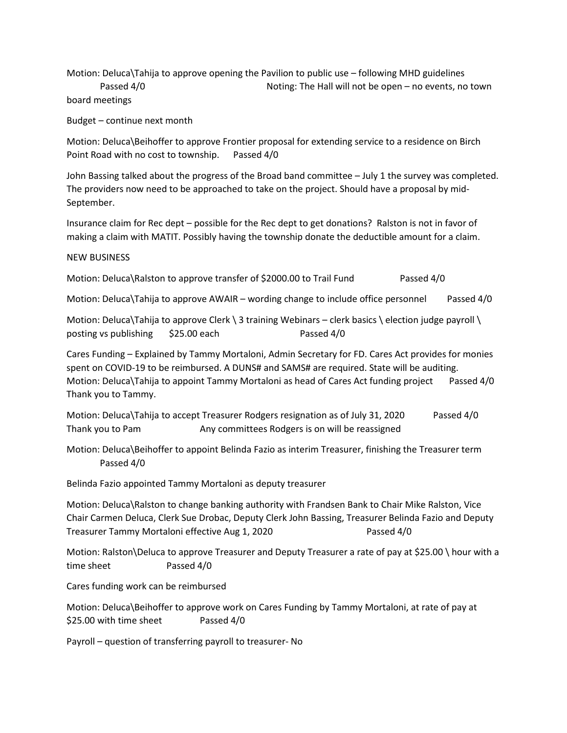Motion: Deluca\Tahija to approve opening the Pavilion to public use – following MHD guidelines

Passed 4/0 Noting: The Hall will not be open – no events, no town board meetings

Budget – continue next month

Motion: Deluca\Beihoffer to approve Frontier proposal for extending service to a residence on Birch Point Road with no cost to township. Passed 4/0

John Bassing talked about the progress of the Broad band committee – July 1 the survey was completed. The providers now need to be approached to take on the project. Should have a proposal by mid-September.

Insurance claim for Rec dept – possible for the Rec dept to get donations? Ralston is not in favor of making a claim with MATIT. Possibly having the township donate the deductible amount for a claim.

## NEW BUSINESS

Motion: Deluca\Ralston to approve transfer of \$2000.00 to Trail Fund Passed 4/0

Motion: Deluca\Tahija to approve AWAIR – wording change to include office personnel Passed 4/0

Motion: Deluca\Tahija to approve Clerk \ 3 training Webinars – clerk basics \ election judge payroll \ posting vs publishing \$25.00 each Passed 4/0

Cares Funding – Explained by Tammy Mortaloni, Admin Secretary for FD. Cares Act provides for monies spent on COVID-19 to be reimbursed. A DUNS# and SAMS# are required. State will be auditing. Motion: Deluca\Tahija to appoint Tammy Mortaloni as head of Cares Act funding project Passed 4/0 Thank you to Tammy.

Motion: Deluca\Tahija to accept Treasurer Rodgers resignation as of July 31, 2020 Passed 4/0 Thank you to Pam Any committees Rodgers is on will be reassigned

Motion: Deluca\Beihoffer to appoint Belinda Fazio as interim Treasurer, finishing the Treasurer term Passed 4/0

Belinda Fazio appointed Tammy Mortaloni as deputy treasurer

Motion: Deluca\Ralston to change banking authority with Frandsen Bank to Chair Mike Ralston, Vice Chair Carmen Deluca, Clerk Sue Drobac, Deputy Clerk John Bassing, Treasurer Belinda Fazio and Deputy Treasurer Tammy Mortaloni effective Aug 1, 2020 Passed 4/0

Motion: Ralston\Deluca to approve Treasurer and Deputy Treasurer a rate of pay at \$25.00 \ hour with a time sheet Passed 4/0

Cares funding work can be reimbursed

Motion: Deluca\Beihoffer to approve work on Cares Funding by Tammy Mortaloni, at rate of pay at \$25.00 with time sheet Passed 4/0

Payroll – question of transferring payroll to treasurer- No